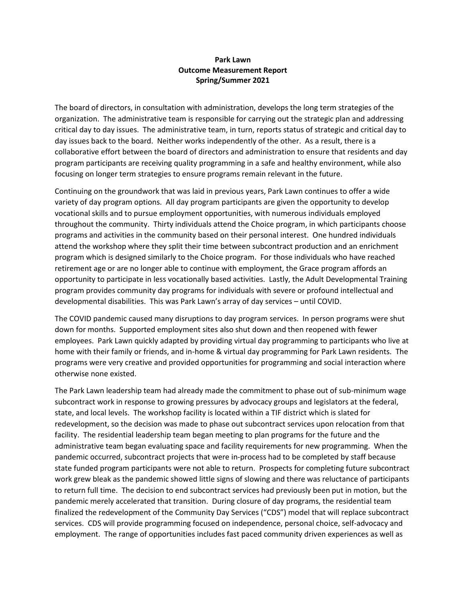## **Park Lawn Outcome Measurement Report Spring/Summer 2021**

The board of directors, in consultation with administration, develops the long term strategies of the organization. The administrative team is responsible for carrying out the strategic plan and addressing critical day to day issues. The administrative team, in turn, reports status of strategic and critical day to day issues back to the board. Neither works independently of the other. As a result, there is a collaborative effort between the board of directors and administration to ensure that residents and day program participants are receiving quality programming in a safe and healthy environment, while also focusing on longer term strategies to ensure programs remain relevant in the future.

Continuing on the groundwork that was laid in previous years, Park Lawn continues to offer a wide variety of day program options. All day program participants are given the opportunity to develop vocational skills and to pursue employment opportunities, with numerous individuals employed throughout the community. Thirty individuals attend the Choice program, in which participants choose programs and activities in the community based on their personal interest. One hundred individuals attend the workshop where they split their time between subcontract production and an enrichment program which is designed similarly to the Choice program. For those individuals who have reached retirement age or are no longer able to continue with employment, the Grace program affords an opportunity to participate in less vocationally based activities. Lastly, the Adult Developmental Training program provides community day programs for individuals with severe or profound intellectual and developmental disabilities. This was Park Lawn's array of day services – until COVID.

The COVID pandemic caused many disruptions to day program services. In person programs were shut down for months. Supported employment sites also shut down and then reopened with fewer employees. Park Lawn quickly adapted by providing virtual day programming to participants who live at home with their family or friends, and in-home & virtual day programming for Park Lawn residents. The programs were very creative and provided opportunities for programming and social interaction where otherwise none existed.

The Park Lawn leadership team had already made the commitment to phase out of sub-minimum wage subcontract work in response to growing pressures by advocacy groups and legislators at the federal, state, and local levels. The workshop facility is located within a TIF district which is slated for redevelopment, so the decision was made to phase out subcontract services upon relocation from that facility. The residential leadership team began meeting to plan programs for the future and the administrative team began evaluating space and facility requirements for new programming. When the pandemic occurred, subcontract projects that were in-process had to be completed by staff because state funded program participants were not able to return. Prospects for completing future subcontract work grew bleak as the pandemic showed little signs of slowing and there was reluctance of participants to return full time. The decision to end subcontract services had previously been put in motion, but the pandemic merely accelerated that transition. During closure of day programs, the residential team finalized the redevelopment of the Community Day Services ("CDS") model that will replace subcontract services. CDS will provide programming focused on independence, personal choice, self-advocacy and employment. The range of opportunities includes fast paced community driven experiences as well as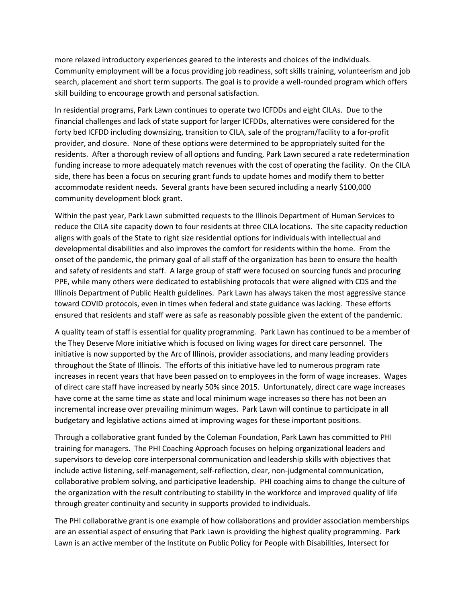more relaxed introductory experiences geared to the interests and choices of the individuals. Community employment will be a focus providing job readiness, soft skills training, volunteerism and job search, placement and short term supports. The goal is to provide a well-rounded program which offers skill building to encourage growth and personal satisfaction.

In residential programs, Park Lawn continues to operate two ICFDDs and eight CILAs. Due to the financial challenges and lack of state support for larger ICFDDs, alternatives were considered for the forty bed ICFDD including downsizing, transition to CILA, sale of the program/facility to a for-profit provider, and closure. None of these options were determined to be appropriately suited for the residents. After a thorough review of all options and funding, Park Lawn secured a rate redetermination funding increase to more adequately match revenues with the cost of operating the facility. On the CILA side, there has been a focus on securing grant funds to update homes and modify them to better accommodate resident needs. Several grants have been secured including a nearly \$100,000 community development block grant.

Within the past year, Park Lawn submitted requests to the Illinois Department of Human Services to reduce the CILA site capacity down to four residents at three CILA locations. The site capacity reduction aligns with goals of the State to right size residential options for individuals with intellectual and developmental disabilities and also improves the comfort for residents within the home. From the onset of the pandemic, the primary goal of all staff of the organization has been to ensure the health and safety of residents and staff. A large group of staff were focused on sourcing funds and procuring PPE, while many others were dedicated to establishing protocols that were aligned with CDS and the Illinois Department of Public Health guidelines. Park Lawn has always taken the most aggressive stance toward COVID protocols, even in times when federal and state guidance was lacking. These efforts ensured that residents and staff were as safe as reasonably possible given the extent of the pandemic.

A quality team of staff is essential for quality programming. Park Lawn has continued to be a member of the They Deserve More initiative which is focused on living wages for direct care personnel. The initiative is now supported by the Arc of Illinois, provider associations, and many leading providers throughout the State of Illinois. The efforts of this initiative have led to numerous program rate increases in recent years that have been passed on to employees in the form of wage increases. Wages of direct care staff have increased by nearly 50% since 2015. Unfortunately, direct care wage increases have come at the same time as state and local minimum wage increases so there has not been an incremental increase over prevailing minimum wages. Park Lawn will continue to participate in all budgetary and legislative actions aimed at improving wages for these important positions.

Through a collaborative grant funded by the Coleman Foundation, Park Lawn has committed to PHI training for managers. The PHI Coaching Approach focuses on helping organizational leaders and supervisors to develop core interpersonal communication and leadership skills with objectives that include active listening, self-management, self-reflection, clear, non-judgmental communication, collaborative problem solving, and participative leadership. PHI coaching aims to change the culture of the organization with the result contributing to stability in the workforce and improved quality of life through greater continuity and security in supports provided to individuals.

The PHI collaborative grant is one example of how collaborations and provider association memberships are an essential aspect of ensuring that Park Lawn is providing the highest quality programming. Park Lawn is an active member of the Institute on Public Policy for People with Disabilities, Intersect for